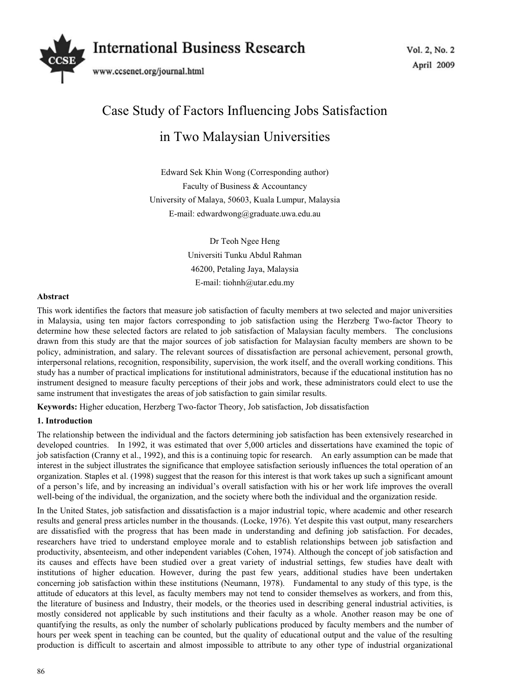

# Case Study of Factors Influencing Jobs Satisfaction in Two Malaysian Universities

Edward Sek Khin Wong (Corresponding author) Faculty of Business & Accountancy University of Malaya, 50603, Kuala Lumpur, Malaysia E-mail: edwardwong@graduate.uwa.edu.au

> Dr Teoh Ngee Heng Universiti Tunku Abdul Rahman 46200, Petaling Jaya, Malaysia E-mail: tiohnh@utar.edu.my

## **Abstract**

This work identifies the factors that measure job satisfaction of faculty members at two selected and major universities in Malaysia, using ten major factors corresponding to job satisfaction using the Herzberg Two-factor Theory to determine how these selected factors are related to job satisfaction of Malaysian faculty members. The conclusions drawn from this study are that the major sources of job satisfaction for Malaysian faculty members are shown to be policy, administration, and salary. The relevant sources of dissatisfaction are personal achievement, personal growth, interpersonal relations, recognition, responsibility, supervision, the work itself, and the overall working conditions. This study has a number of practical implications for institutional administrators, because if the educational institution has no instrument designed to measure faculty perceptions of their jobs and work, these administrators could elect to use the same instrument that investigates the areas of job satisfaction to gain similar results.

**Keywords:** Higher education, Herzberg Two-factor Theory, Job satisfaction, Job dissatisfaction

# **1. Introduction**

The relationship between the individual and the factors determining job satisfaction has been extensively researched in developed countries. In 1992, it was estimated that over 5,000 articles and dissertations have examined the topic of job satisfaction (Cranny et al., 1992), and this is a continuing topic for research. An early assumption can be made that interest in the subject illustrates the significance that employee satisfaction seriously influences the total operation of an organization. Staples et al. (1998) suggest that the reason for this interest is that work takes up such a significant amount of a person's life, and by increasing an individual's overall satisfaction with his or her work life improves the overall well-being of the individual, the organization, and the society where both the individual and the organization reside.

In the United States, job satisfaction and dissatisfaction is a major industrial topic, where academic and other research results and general press articles number in the thousands. (Locke, 1976). Yet despite this vast output, many researchers are dissatisfied with the progress that has been made in understanding and defining job satisfaction. For decades, researchers have tried to understand employee morale and to establish relationships between job satisfaction and productivity, absenteeism, and other independent variables (Cohen, 1974). Although the concept of job satisfaction and its causes and effects have been studied over a great variety of industrial settings, few studies have dealt with institutions of higher education. However, during the past few years, additional studies have been undertaken concerning job satisfaction within these institutions (Neumann, 1978). Fundamental to any study of this type, is the attitude of educators at this level, as faculty members may not tend to consider themselves as workers, and from this, the literature of business and Industry, their models, or the theories used in describing general industrial activities, is mostly considered not applicable by such institutions and their faculty as a whole. Another reason may be one of quantifying the results, as only the number of scholarly publications produced by faculty members and the number of hours per week spent in teaching can be counted, but the quality of educational output and the value of the resulting production is difficult to ascertain and almost impossible to attribute to any other type of industrial organizational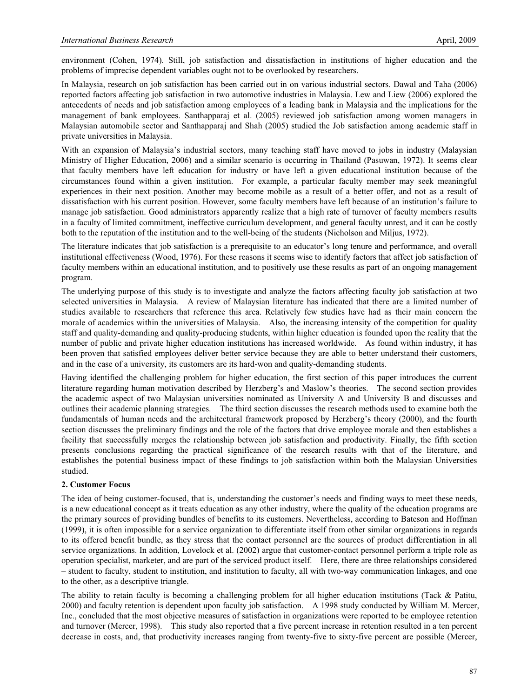environment (Cohen, 1974). Still, job satisfaction and dissatisfaction in institutions of higher education and the problems of imprecise dependent variables ought not to be overlooked by researchers.

In Malaysia, research on job satisfaction has been carried out in on various industrial sectors. Dawal and Taha (2006) reported factors affecting job satisfaction in two automotive industries in Malaysia. Lew and Liew (2006) explored the antecedents of needs and job satisfaction among employees of a leading bank in Malaysia and the implications for the management of bank employees. Santhapparaj et al. (2005) reviewed job satisfaction among women managers in Malaysian automobile sector and Santhapparaj and Shah (2005) studied the Job satisfaction among academic staff in private universities in Malaysia.

With an expansion of Malaysia's industrial sectors, many teaching staff have moved to jobs in industry (Malaysian Ministry of Higher Education, 2006) and a similar scenario is occurring in Thailand (Pasuwan, 1972). It seems clear that faculty members have left education for industry or have left a given educational institution because of the circumstances found within a given institution. For example, a particular faculty member may seek meaningful experiences in their next position. Another may become mobile as a result of a better offer, and not as a result of dissatisfaction with his current position. However, some faculty members have left because of an institution's failure to manage job satisfaction. Good administrators apparently realize that a high rate of turnover of faculty members results in a faculty of limited commitment, ineffective curriculum development, and general faculty unrest, and it can be costly both to the reputation of the institution and to the well-being of the students (Nicholson and Miljus, 1972).

The literature indicates that job satisfaction is a prerequisite to an educator's long tenure and performance, and overall institutional effectiveness (Wood, 1976). For these reasons it seems wise to identify factors that affect job satisfaction of faculty members within an educational institution, and to positively use these results as part of an ongoing management program.

The underlying purpose of this study is to investigate and analyze the factors affecting faculty job satisfaction at two selected universities in Malaysia. A review of Malaysian literature has indicated that there are a limited number of studies available to researchers that reference this area. Relatively few studies have had as their main concern the morale of academics within the universities of Malaysia. Also, the increasing intensity of the competition for quality staff and quality-demanding and quality-producing students, within higher education is founded upon the reality that the number of public and private higher education institutions has increased worldwide. As found within industry, it has been proven that satisfied employees deliver better service because they are able to better understand their customers, and in the case of a university, its customers are its hard-won and quality-demanding students.

Having identified the challenging problem for higher education, the first section of this paper introduces the current literature regarding human motivation described by Herzberg's and Maslow's theories. The second section provides the academic aspect of two Malaysian universities nominated as University A and University B and discusses and outlines their academic planning strategies. The third section discusses the research methods used to examine both the fundamentals of human needs and the architectural framework proposed by Herzberg's theory (2000), and the fourth section discusses the preliminary findings and the role of the factors that drive employee morale and then establishes a facility that successfully merges the relationship between job satisfaction and productivity. Finally, the fifth section presents conclusions regarding the practical significance of the research results with that of the literature, and establishes the potential business impact of these findings to job satisfaction within both the Malaysian Universities studied.

## **2. Customer Focus**

The idea of being customer-focused, that is, understanding the customer's needs and finding ways to meet these needs, is a new educational concept as it treats education as any other industry, where the quality of the education programs are the primary sources of providing bundles of benefits to its customers. Nevertheless, according to Bateson and Hoffman (1999), it is often impossible for a service organization to differentiate itself from other similar organizations in regards to its offered benefit bundle, as they stress that the contact personnel are the sources of product differentiation in all service organizations. In addition, Lovelock et al. (2002) argue that customer-contact personnel perform a triple role as operation specialist, marketer, and are part of the serviced product itself. Here, there are three relationships considered – student to faculty, student to institution, and institution to faculty, all with two-way communication linkages, and one to the other, as a descriptive triangle.

The ability to retain faculty is becoming a challenging problem for all higher education institutions (Tack & Patitu, 2000) and faculty retention is dependent upon faculty job satisfaction. A 1998 study conducted by William M. Mercer, Inc., concluded that the most objective measures of satisfaction in organizations were reported to be employee retention and turnover (Mercer, 1998). This study also reported that a five percent increase in retention resulted in a ten percent decrease in costs, and, that productivity increases ranging from twenty-five to sixty-five percent are possible (Mercer,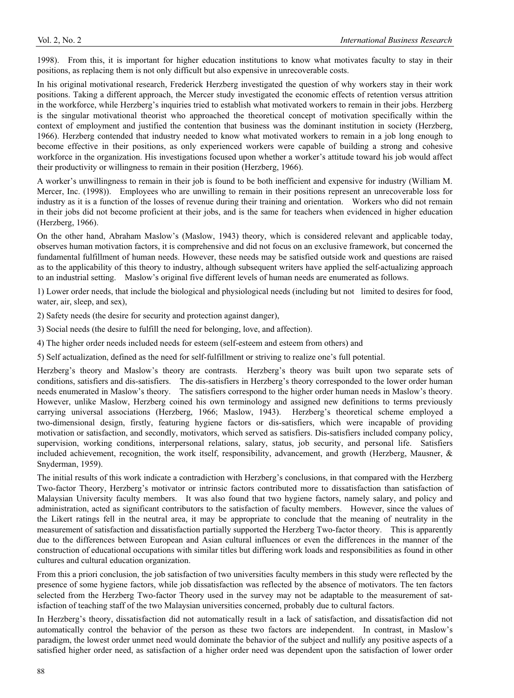1998). From this, it is important for higher education institutions to know what motivates faculty to stay in their positions, as replacing them is not only difficult but also expensive in unrecoverable costs.

In his original motivational research, Frederick Herzberg investigated the question of why workers stay in their work positions. Taking a different approach, the Mercer study investigated the economic effects of retention versus attrition in the workforce, while Herzberg's inquiries tried to establish what motivated workers to remain in their jobs. Herzberg is the singular motivational theorist who approached the theoretical concept of motivation specifically within the context of employment and justified the contention that business was the dominant institution in society (Herzberg, 1966). Herzberg contended that industry needed to know what motivated workers to remain in a job long enough to become effective in their positions, as only experienced workers were capable of building a strong and cohesive workforce in the organization. His investigations focused upon whether a worker's attitude toward his job would affect their productivity or willingness to remain in their position (Herzberg, 1966).

A worker's unwillingness to remain in their job is found to be both inefficient and expensive for industry (William M. Mercer, Inc. (1998)). Employees who are unwilling to remain in their positions represent an unrecoverable loss for industry as it is a function of the losses of revenue during their training and orientation. Workers who did not remain in their jobs did not become proficient at their jobs, and is the same for teachers when evidenced in higher education (Herzberg, 1966).

On the other hand, Abraham Maslow's (Maslow, 1943) theory, which is considered relevant and applicable today, observes human motivation factors, it is comprehensive and did not focus on an exclusive framework, but concerned the fundamental fulfillment of human needs. However, these needs may be satisfied outside work and questions are raised as to the applicability of this theory to industry, although subsequent writers have applied the self-actualizing approach to an industrial setting. Maslow's original five different levels of human needs are enumerated as follows.

1) Lower order needs, that include the biological and physiological needs (including but not limited to desires for food, water, air, sleep, and sex),

2) Safety needs (the desire for security and protection against danger),

3) Social needs (the desire to fulfill the need for belonging, love, and affection).

4) The higher order needs included needs for esteem (self-esteem and esteem from others) and

5) Self actualization, defined as the need for self-fulfillment or striving to realize one's full potential.

Herzberg's theory and Maslow's theory are contrasts. Herzberg's theory was built upon two separate sets of conditions, satisfiers and dis-satisfiers. The dis-satisfiers in Herzberg's theory corresponded to the lower order human needs enumerated in Maslow's theory. The satisfiers correspond to the higher order human needs in Maslow's theory. However, unlike Maslow, Herzberg coined his own terminology and assigned new definitions to terms previously carrying universal associations (Herzberg, 1966; Maslow, 1943). Herzberg's theoretical scheme employed a two-dimensional design, firstly, featuring hygiene factors or dis-satisfiers, which were incapable of providing motivation or satisfaction, and secondly, motivators, which served as satisfiers. Dis-satisfiers included company policy, supervision, working conditions, interpersonal relations, salary, status, job security, and personal life. Satisfiers included achievement, recognition, the work itself, responsibility, advancement, and growth (Herzberg, Mausner,  $\&$ Snyderman, 1959).

The initial results of this work indicate a contradiction with Herzberg's conclusions, in that compared with the Herzberg Two-factor Theory, Herzberg's motivator or intrinsic factors contributed more to dissatisfaction than satisfaction of Malaysian University faculty members. It was also found that two hygiene factors, namely salary, and policy and administration, acted as significant contributors to the satisfaction of faculty members. However, since the values of the Likert ratings fell in the neutral area, it may be appropriate to conclude that the meaning of neutrality in the measurement of satisfaction and dissatisfaction partially supported the Herzberg Two-factor theory. This is apparently due to the differences between European and Asian cultural influences or even the differences in the manner of the construction of educational occupations with similar titles but differing work loads and responsibilities as found in other cultures and cultural education organization.

From this a priori conclusion, the job satisfaction of two universities faculty members in this study were reflected by the presence of some hygiene factors, while job dissatisfaction was reflected by the absence of motivators. The ten factors selected from the Herzberg Two-factor Theory used in the survey may not be adaptable to the measurement of satisfaction of teaching staff of the two Malaysian universities concerned, probably due to cultural factors.

In Herzberg's theory, dissatisfaction did not automatically result in a lack of satisfaction, and dissatisfaction did not automatically control the behavior of the person as these two factors are independent. In contrast, in Maslow's paradigm, the lowest order unmet need would dominate the behavior of the subject and nullify any positive aspects of a satisfied higher order need, as satisfaction of a higher order need was dependent upon the satisfaction of lower order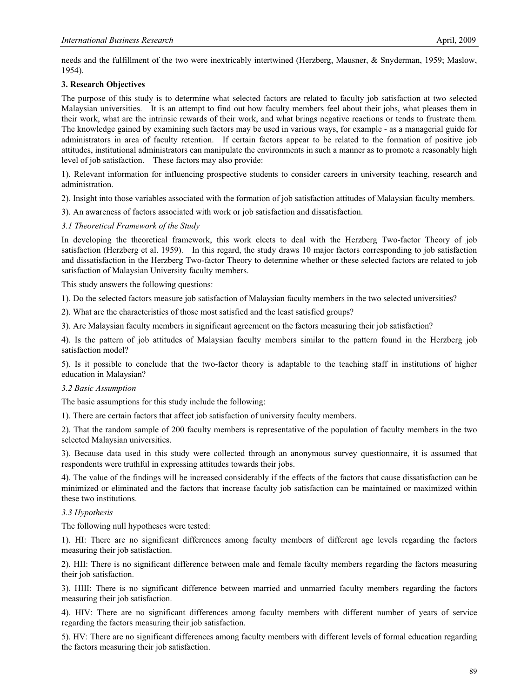needs and the fulfillment of the two were inextricably intertwined (Herzberg, Mausner, & Snyderman, 1959; Maslow, 1954).

# **3. Research Objectives**

The purpose of this study is to determine what selected factors are related to faculty job satisfaction at two selected Malaysian universities. It is an attempt to find out how faculty members feel about their jobs, what pleases them in their work, what are the intrinsic rewards of their work, and what brings negative reactions or tends to frustrate them. The knowledge gained by examining such factors may be used in various ways, for example - as a managerial guide for administrators in area of faculty retention. If certain factors appear to be related to the formation of positive job attitudes, institutional administrators can manipulate the environments in such a manner as to promote a reasonably high level of job satisfaction. These factors may also provide:

1). Relevant information for influencing prospective students to consider careers in university teaching, research and administration.

- 2). Insight into those variables associated with the formation of job satisfaction attitudes of Malaysian faculty members.
- 3). An awareness of factors associated with work or job satisfaction and dissatisfaction.
- *3.1 Theoretical Framework of the Study*

In developing the theoretical framework, this work elects to deal with the Herzberg Two-factor Theory of job satisfaction (Herzberg et al. 1959). In this regard, the study draws 10 major factors corresponding to job satisfaction and dissatisfaction in the Herzberg Two-factor Theory to determine whether or these selected factors are related to job satisfaction of Malaysian University faculty members.

This study answers the following questions:

1). Do the selected factors measure job satisfaction of Malaysian faculty members in the two selected universities?

2). What are the characteristics of those most satisfied and the least satisfied groups?

3). Are Malaysian faculty members in significant agreement on the factors measuring their job satisfaction?

4). Is the pattern of job attitudes of Malaysian faculty members similar to the pattern found in the Herzberg job satisfaction model?

5). Is it possible to conclude that the two-factor theory is adaptable to the teaching staff in institutions of higher education in Malaysian?

## *3.2 Basic Assumption*

The basic assumptions for this study include the following:

1). There are certain factors that affect job satisfaction of university faculty members.

2). That the random sample of 200 faculty members is representative of the population of faculty members in the two selected Malaysian universities.

3). Because data used in this study were collected through an anonymous survey questionnaire, it is assumed that respondents were truthful in expressing attitudes towards their jobs.

4). The value of the findings will be increased considerably if the effects of the factors that cause dissatisfaction can be minimized or eliminated and the factors that increase faculty job satisfaction can be maintained or maximized within these two institutions.

## *3.3 Hypothesis*

The following null hypotheses were tested:

1). HI: There are no significant differences among faculty members of different age levels regarding the factors measuring their job satisfaction.

2). HII: There is no significant difference between male and female faculty members regarding the factors measuring their job satisfaction.

3). HIII: There is no significant difference between married and unmarried faculty members regarding the factors measuring their job satisfaction.

4). HIV: There are no significant differences among faculty members with different number of years of service regarding the factors measuring their job satisfaction.

5). HV: There are no significant differences among faculty members with different levels of formal education regarding the factors measuring their job satisfaction.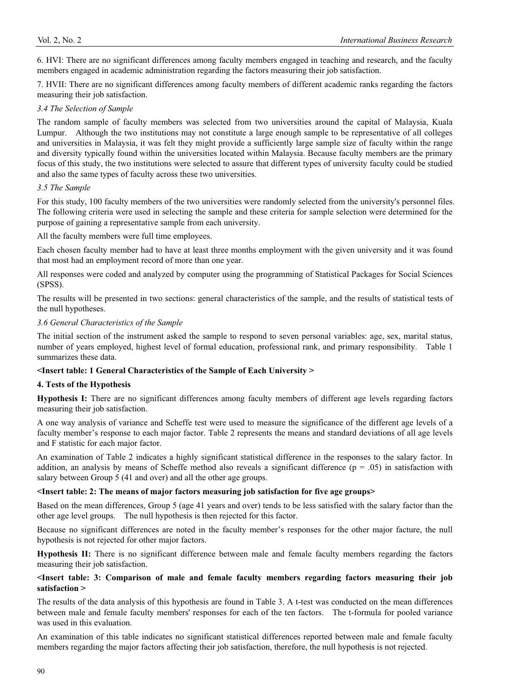6. HVI: There are no significant differences among faculty members engaged in teaching and research, and the faculty members engaged in academic administration regarding the factors measuring their job satisfaction.

7. HVII: There are no significant differences among faculty members of different academic ranks regarding the factors measuring their job satisfaction.

## *3.4 The Selection of Sample*

The random sample of faculty members was selected from two universities around the capital of Malaysia, Kuala Lumpur. Although the two institutions may not constitute a large enough sample to be representative of all colleges and universities in Malaysia, it was felt they might provide a sufficiently large sample size of faculty within the range and diversity typically found within the universities located within Malaysia. Because faculty members are the primary focus of this study, the two institutions were selected to assure that different types of university faculty could be studied and also the same types of faculty across these two universities.

## *3.5 The Sample*

For this study, 100 faculty members of the two universities were randomly selected from the university's personnel files. The following criteria were used in selecting the sample and these criteria for sample selection were determined for the purpose of gaining a representative sample from each university.

All the faculty members were full time employees.

Each chosen faculty member had to have at least three months employment with the given university and it was found that most had an employment record of more than one year.

All responses were coded and analyzed by computer using the programming of Statistical Packages for Social Sciences (SPSS).

The results will be presented in two sections: general characteristics of the sample, and the results of statistical tests of the null hypotheses.

## *3.6 General Characteristics of the Sample*

The initial section of the instrument asked the sample to respond to seven personal variables: age, sex, marital status, number of years employed, highest level of formal education, professional rank, and primary responsibility. Table 1 summarizes these data.

# **<Insert table: 1 General Characteristics of the Sample of Each University >**

# **4. Tests of the Hypothesis**

**Hypothesis I:** There are no significant differences among faculty members of different age levels regarding factors measuring their job satisfaction.

A one way analysis of variance and Scheffe test were used to measure the significance of the different age levels of a faculty member's response to each major factor. Table 2 represents the means and standard deviations of all age levels and F statistic for each major factor.

An examination of Table 2 indicates a highly significant statistical difference in the responses to the salary factor. In addition, an analysis by means of Scheffe method also reveals a significant difference ( $p = .05$ ) in satisfaction with salary between Group 5 (41 and over) and all the other age groups.

## **<Insert table: 2: The means of major factors measuring job satisfaction for five age groups>**

Based on the mean differences, Group 5 (age 41 years and over) tends to be less satisfied with the salary factor than the other age level groups. The null hypothesis is then rejected for this factor.

Because no significant differences are noted in the faculty member's responses for the other major facture, the null hypothesis is not rejected for other major factors.

**Hypothesis II:** There is no significant difference between male and female faculty members regarding the factors measuring their job satisfaction.

# **<Insert table: 3: Comparison of male and female faculty members regarding factors measuring their job satisfaction >**

The results of the data analysis of this hypothesis are found in Table 3. A t-test was conducted on the mean differences between male and female faculty members' responses for each of the ten factors. The t-formula for pooled variance was used in this evaluation.

An examination of this table indicates no significant statistical differences reported between male and female faculty members regarding the major factors affecting their job satisfaction, therefore, the null hypothesis is not rejected.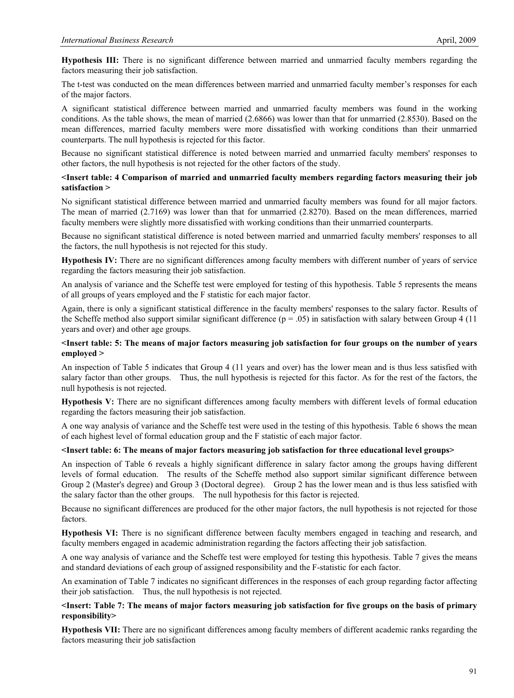**Hypothesis III:** There is no significant difference between married and unmarried faculty members regarding the factors measuring their job satisfaction.

The t-test was conducted on the mean differences between married and unmarried faculty member's responses for each of the major factors.

A significant statistical difference between married and unmarried faculty members was found in the working conditions. As the table shows, the mean of married (2.6866) was lower than that for unmarried (2.8530). Based on the mean differences, married faculty members were more dissatisfied with working conditions than their unmarried counterparts. The null hypothesis is rejected for this factor.

Because no significant statistical difference is noted between married and unmarried faculty members' responses to other factors, the null hypothesis is not rejected for the other factors of the study.

## **<Insert table: 4 Comparison of married and unmarried faculty members regarding factors measuring their job satisfaction >**

No significant statistical difference between married and unmarried faculty members was found for all major factors. The mean of married (2.7169) was lower than that for unmarried (2.8270). Based on the mean differences, married faculty members were slightly more dissatisfied with working conditions than their unmarried counterparts.

Because no significant statistical difference is noted between married and unmarried faculty members' responses to all the factors, the null hypothesis is not rejected for this study.

**Hypothesis IV:** There are no significant differences among faculty members with different number of years of service regarding the factors measuring their job satisfaction.

An analysis of variance and the Scheffe test were employed for testing of this hypothesis. Table 5 represents the means of all groups of years employed and the F statistic for each major factor.

Again, there is only a significant statistical difference in the faculty members' responses to the salary factor. Results of the Scheffe method also support similar significant difference  $(p = .05)$  in satisfaction with salary between Group 4 (11) years and over) and other age groups.

## **<Insert table: 5: The means of major factors measuring job satisfaction for four groups on the number of years employed >**

An inspection of Table 5 indicates that Group 4 (11 years and over) has the lower mean and is thus less satisfied with salary factor than other groups. Thus, the null hypothesis is rejected for this factor. As for the rest of the factors, the null hypothesis is not rejected.

**Hypothesis V:** There are no significant differences among faculty members with different levels of formal education regarding the factors measuring their job satisfaction.

A one way analysis of variance and the Scheffe test were used in the testing of this hypothesis. Table 6 shows the mean of each highest level of formal education group and the F statistic of each major factor.

## **<Insert table: 6: The means of major factors measuring job satisfaction for three educational level groups>**

An inspection of Table 6 reveals a highly significant difference in salary factor among the groups having different levels of formal education. The results of the Scheffe method also support similar significant difference between Group 2 (Master's degree) and Group 3 (Doctoral degree). Group 2 has the lower mean and is thus less satisfied with the salary factor than the other groups. The null hypothesis for this factor is rejected.

Because no significant differences are produced for the other major factors, the null hypothesis is not rejected for those factors.

**Hypothesis VI:** There is no significant difference between faculty members engaged in teaching and research, and faculty members engaged in academic administration regarding the factors affecting their job satisfaction.

A one way analysis of variance and the Scheffe test were employed for testing this hypothesis. Table 7 gives the means and standard deviations of each group of assigned responsibility and the F-statistic for each factor.

An examination of Table 7 indicates no significant differences in the responses of each group regarding factor affecting their job satisfaction. Thus, the null hypothesis is not rejected.

## **<Insert: Table 7: The means of major factors measuring job satisfaction for five groups on the basis of primary responsibility>**

**Hypothesis VII:** There are no significant differences among faculty members of different academic ranks regarding the factors measuring their job satisfaction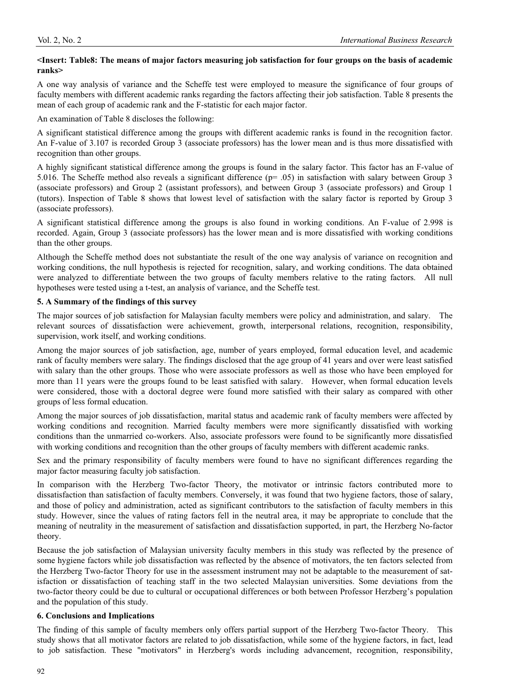## **<Insert: Table8: The means of major factors measuring job satisfaction for four groups on the basis of academic ranks>**

A one way analysis of variance and the Scheffe test were employed to measure the significance of four groups of faculty members with different academic ranks regarding the factors affecting their job satisfaction. Table 8 presents the mean of each group of academic rank and the F-statistic for each major factor.

An examination of Table 8 discloses the following:

A significant statistical difference among the groups with different academic ranks is found in the recognition factor. An F-value of 3.107 is recorded Group 3 (associate professors) has the lower mean and is thus more dissatisfied with recognition than other groups.

A highly significant statistical difference among the groups is found in the salary factor. This factor has an F-value of 5.016. The Scheffe method also reveals a significant difference (p= .05) in satisfaction with salary between Group 3 (associate professors) and Group 2 (assistant professors), and between Group 3 (associate professors) and Group 1 (tutors). Inspection of Table 8 shows that lowest level of satisfaction with the salary factor is reported by Group 3 (associate professors).

A significant statistical difference among the groups is also found in working conditions. An F-value of 2.998 is recorded. Again, Group 3 (associate professors) has the lower mean and is more dissatisfied with working conditions than the other groups.

Although the Scheffe method does not substantiate the result of the one way analysis of variance on recognition and working conditions, the null hypothesis is rejected for recognition, salary, and working conditions. The data obtained were analyzed to differentiate between the two groups of faculty members relative to the rating factors. All null hypotheses were tested using a t-test, an analysis of variance, and the Scheffe test.

# **5. A Summary of the findings of this survey**

The major sources of job satisfaction for Malaysian faculty members were policy and administration, and salary. The relevant sources of dissatisfaction were achievement, growth, interpersonal relations, recognition, responsibility, supervision, work itself, and working conditions.

Among the major sources of job satisfaction, age, number of years employed, formal education level, and academic rank of faculty members were salary. The findings disclosed that the age group of 41 years and over were least satisfied with salary than the other groups. Those who were associate professors as well as those who have been employed for more than 11 years were the groups found to be least satisfied with salary. However, when formal education levels were considered, those with a doctoral degree were found more satisfied with their salary as compared with other groups of less formal education.

Among the major sources of job dissatisfaction, marital status and academic rank of faculty members were affected by working conditions and recognition. Married faculty members were more significantly dissatisfied with working conditions than the unmarried co-workers. Also, associate professors were found to be significantly more dissatisfied with working conditions and recognition than the other groups of faculty members with different academic ranks.

Sex and the primary responsibility of faculty members were found to have no significant differences regarding the major factor measuring faculty job satisfaction.

In comparison with the Herzberg Two-factor Theory, the motivator or intrinsic factors contributed more to dissatisfaction than satisfaction of faculty members. Conversely, it was found that two hygiene factors, those of salary, and those of policy and administration, acted as significant contributors to the satisfaction of faculty members in this study. However, since the values of rating factors fell in the neutral area, it may be appropriate to conclude that the meaning of neutrality in the measurement of satisfaction and dissatisfaction supported, in part, the Herzberg No-factor theory.

Because the job satisfaction of Malaysian university faculty members in this study was reflected by the presence of some hygiene factors while job dissatisfaction was reflected by the absence of motivators, the ten factors selected from the Herzberg Two-factor Theory for use in the assessment instrument may not be adaptable to the measurement of satisfaction or dissatisfaction of teaching staff in the two selected Malaysian universities. Some deviations from the two-factor theory could be due to cultural or occupational differences or both between Professor Herzberg's population and the population of this study.

# **6. Conclusions and Implications**

The finding of this sample of faculty members only offers partial support of the Herzberg Two-factor Theory. This study shows that all motivator factors are related to job dissatisfaction, while some of the hygiene factors, in fact, lead to job satisfaction. These "motivators" in Herzberg's words including advancement, recognition, responsibility,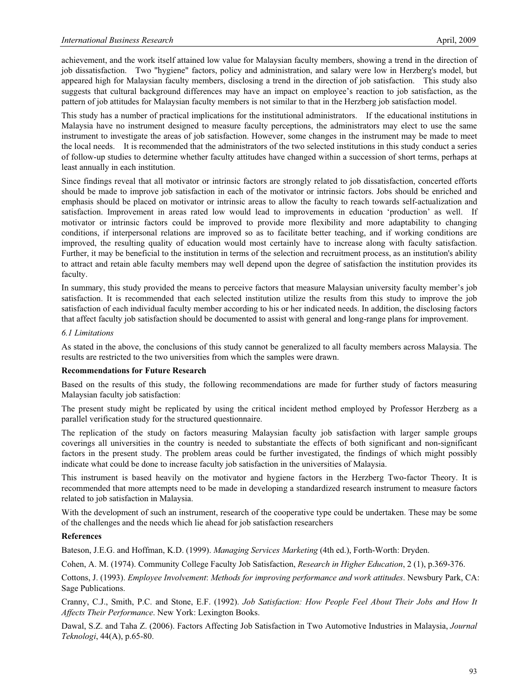achievement, and the work itself attained low value for Malaysian faculty members, showing a trend in the direction of job dissatisfaction. Two "hygiene" factors, policy and administration, and salary were low in Herzberg's model, but appeared high for Malaysian faculty members, disclosing a trend in the direction of job satisfaction. This study also suggests that cultural background differences may have an impact on employee's reaction to job satisfaction, as the pattern of job attitudes for Malaysian faculty members is not similar to that in the Herzberg job satisfaction model.

This study has a number of practical implications for the institutional administrators. If the educational institutions in Malaysia have no instrument designed to measure faculty perceptions, the administrators may elect to use the same instrument to investigate the areas of job satisfaction. However, some changes in the instrument may be made to meet the local needs. It is recommended that the administrators of the two selected institutions in this study conduct a series of follow-up studies to determine whether faculty attitudes have changed within a succession of short terms, perhaps at least annually in each institution.

Since findings reveal that all motivator or intrinsic factors are strongly related to job dissatisfaction, concerted efforts should be made to improve job satisfaction in each of the motivator or intrinsic factors. Jobs should be enriched and emphasis should be placed on motivator or intrinsic areas to allow the faculty to reach towards self-actualization and satisfaction. Improvement in areas rated low would lead to improvements in education 'production' as well. If motivator or intrinsic factors could be improved to provide more flexibility and more adaptability to changing conditions, if interpersonal relations are improved so as to facilitate better teaching, and if working conditions are improved, the resulting quality of education would most certainly have to increase along with faculty satisfaction. Further, it may be beneficial to the institution in terms of the selection and recruitment process, as an institution's ability to attract and retain able faculty members may well depend upon the degree of satisfaction the institution provides its faculty.

In summary, this study provided the means to perceive factors that measure Malaysian university faculty member's job satisfaction. It is recommended that each selected institution utilize the results from this study to improve the job satisfaction of each individual faculty member according to his or her indicated needs. In addition, the disclosing factors that affect faculty job satisfaction should be documented to assist with general and long-range plans for improvement.

#### *6.1 Limitations*

As stated in the above, the conclusions of this study cannot be generalized to all faculty members across Malaysia. The results are restricted to the two universities from which the samples were drawn.

## **Recommendations for Future Research**

Based on the results of this study, the following recommendations are made for further study of factors measuring Malaysian faculty job satisfaction:

The present study might be replicated by using the critical incident method employed by Professor Herzberg as a parallel verification study for the structured questionnaire.

The replication of the study on factors measuring Malaysian faculty job satisfaction with larger sample groups coverings all universities in the country is needed to substantiate the effects of both significant and non-significant factors in the present study. The problem areas could be further investigated, the findings of which might possibly indicate what could be done to increase faculty job satisfaction in the universities of Malaysia.

This instrument is based heavily on the motivator and hygiene factors in the Herzberg Two-factor Theory. It is recommended that more attempts need to be made in developing a standardized research instrument to measure factors related to job satisfaction in Malaysia.

With the development of such an instrument, research of the cooperative type could be undertaken. These may be some of the challenges and the needs which lie ahead for job satisfaction researchers

## **References**

Bateson, J.E.G. and Hoffman, K.D. (1999). *Managing Services Marketing* (4th ed.), Forth-Worth: Dryden.

Cohen, A. M. (1974). Community College Faculty Job Satisfaction, *Research in Higher Education*, 2 (1), p.369-376.

Cottons, J. (1993). *Employee Involvement*: *Methods for improving performance and work attitudes*. Newsbury Park, CA: Sage Publications.

Cranny, C.J., Smith, P.C. and Stone, E.F. (1992). *Job Satisfaction: How People Feel About Their Jobs and How It Affects Their Performance*. New York: Lexington Books.

Dawal, S.Z. and Taha Z. (2006). Factors Affecting Job Satisfaction in Two Automotive Industries in Malaysia, *Journal Teknologi*, 44(A), p.65-80.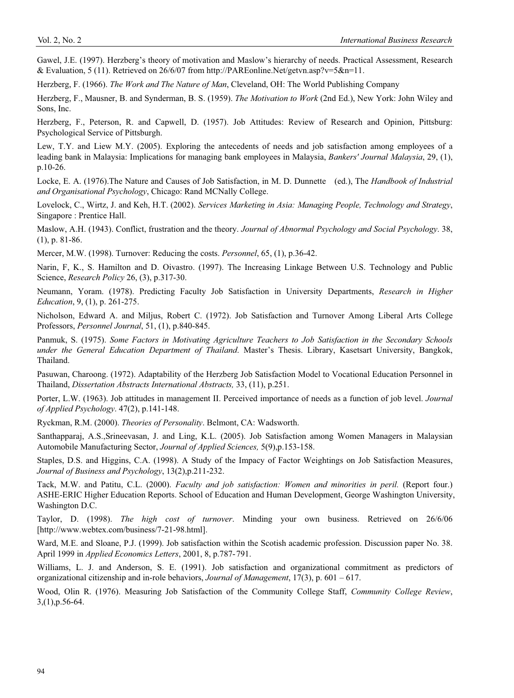Gawel, J.E. (1997). Herzberg's theory of motivation and Maslow's hierarchy of needs. Practical Assessment, Research & Evaluation, 5 (11). Retrieved on 26/6/07 from http://PAREonline.Net/getvn.asp?v=5&n=11.

Herzberg, F. (1966). *The Work and The Nature of Man*, Cleveland, OH: The World Publishing Company

Herzberg, F., Mausner, B. and Synderman, B. S. (1959). *The Motivation to Work* (2nd Ed.), New York: John Wiley and Sons, Inc.

Herzberg, F., Peterson, R. and Capwell, D. (1957). Job Attitudes: Review of Research and Opinion, Pittsburg: Psychological Service of Pittsburgh.

Lew, T.Y. and Liew M.Y. (2005). Exploring the antecedents of needs and job satisfaction among employees of a leading bank in Malaysia: Implications for managing bank employees in Malaysia, *Bankers' Journal Malaysia*, 29, (1), p.10-26.

Locke, E. A. (1976).The Nature and Causes of Job Satisfaction, in M. D. Dunnette (ed.), The *Handbook of Industrial and Organisational Psychology*, Chicago: Rand MCNally College.

Lovelock, C., Wirtz, J. and Keh, H.T. (2002). *Services Marketing in Asia: Managing People, Technology and Strategy*, Singapore : Prentice Hall.

Maslow, A.H. (1943). Conflict, frustration and the theory. *Journal of Abnormal Psychology and Social Psychology*. 38, (1), p. 81-86.

Mercer, M.W. (1998). Turnover: Reducing the costs. *Personnel*, 65, (1), p.36-42.

Narin, F, K., S. Hamilton and D. Oivastro. (1997). The Increasing Linkage Between U.S. Technology and Public Science, *Research Policy* 26, (3), p.317-30.

Neumann, Yoram. (1978). Predicting Faculty Job Satisfaction in University Departments, *Research in Higher Education*, 9, (1), p. 261-275.

Nicholson, Edward A. and Miljus, Robert C. (1972). Job Satisfaction and Turnover Among Liberal Arts College Professors, *Personnel Journal*, 51, (1), p.840-845.

Panmuk, S. (1975). *Some Factors in Motivating Agriculture Teachers to Job Satisfaction in the Secondary Schools under the General Education Department of Thailand*. Master's Thesis. Library, Kasetsart University, Bangkok, Thailand.

Pasuwan, Charoong. (1972). Adaptability of the Herzberg Job Satisfaction Model to Vocational Education Personnel in Thailand, *Dissertation Abstracts International Abstracts,* 33, (11), p.251.

Porter, L.W. (1963). Job attitudes in management II. Perceived importance of needs as a function of job level. *Journal of Applied Psychology*. 47(2), p.141-148.

Ryckman, R.M. (2000). *Theories of Personality*. Belmont, CA: Wadsworth.

Santhapparaj, A.S.,Srineevasan, J. and Ling, K.L. (2005). Job Satisfaction among Women Managers in Malaysian Automobile Manufacturing Sector, *Journal of Applied Sciences,* 5(9),p.153-158.

Staples, D.S. and Higgins, C.A. (1998). A Study of the Impacy of Factor Weightings on Job Satisfaction Measures, *Journal of Business and Psychology*, 13(2),p.211-232.

Tack, M.W. and Patitu, C.L. (2000). *Faculty and job satisfaction: Women and minorities in peril.* (Report four.) ASHE-ERIC Higher Education Reports. School of Education and Human Development, George Washington University, Washington D.C.

Taylor, D. (1998). *The high cost of turnover*. Minding your own business. Retrieved on 26/6/06 [http://www.webtex.com/business/7-21-98.html].

Ward, M.E. and Sloane, P.J. (1999). Job satisfaction within the Scotish academic profession. Discussion paper No. 38. April 1999 in *Applied Economics Letters*, 2001, 8, p.787- 791.

Williams, L. J. and Anderson, S. E. (1991). Job satisfaction and organizational commitment as predictors of organizational citizenship and in-role behaviors, *Journal of Management*, 17(3), p. 601 – 617.

Wood, Olin R. (1976). Measuring Job Satisfaction of the Community College Staff, *Community College Review*, 3,(1),p.56-64.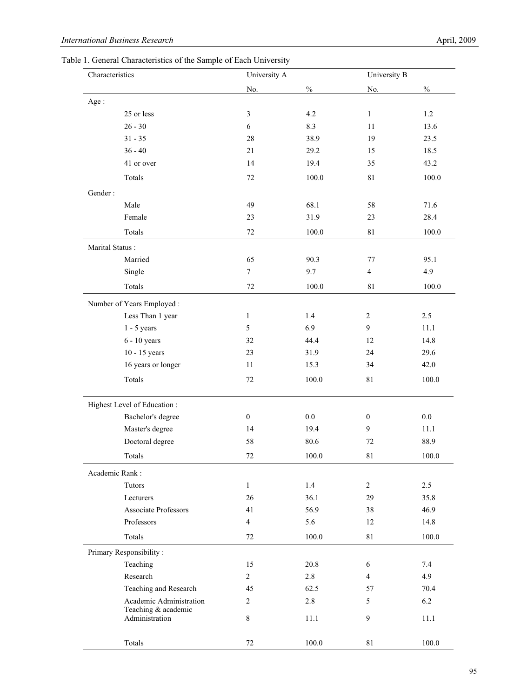Table 1. General Characteristics of the Sample of Each University

| Characteristics                       | University A     |               |                  | University B |  |  |
|---------------------------------------|------------------|---------------|------------------|--------------|--|--|
|                                       | No.              | $\frac{0}{0}$ | No.              | $\%$         |  |  |
| Age:                                  |                  |               |                  |              |  |  |
| 25 or less                            | 3                | 4.2           | $\mathbf{1}$     | 1.2          |  |  |
| $26 - 30$                             | 6                | 8.3           | 11               | 13.6         |  |  |
| $31 - 35$                             | 28               | 38.9          | 19               | 23.5         |  |  |
| $36 - 40$                             | 21               | 29.2          | 15               | 18.5         |  |  |
| 41 or over                            | 14               | 19.4          | 35               | 43.2         |  |  |
| Totals                                | 72               | 100.0         | 81               | 100.0        |  |  |
| Gender:                               |                  |               |                  |              |  |  |
| Male                                  | 49               | 68.1          | 58               | 71.6         |  |  |
| Female                                | 23               | 31.9          | 23               | 28.4         |  |  |
| Totals                                | 72               | 100.0         | $8\sqrt{1}$      | 100.0        |  |  |
| Marital Status:                       |                  |               |                  |              |  |  |
| Married                               | 65               | 90.3          | 77               | 95.1         |  |  |
| Single                                | $\tau$           | 9.7           | $\overline{4}$   | 4.9          |  |  |
| Totals                                | 72               | 100.0         | $8\sqrt{1}$      | 100.0        |  |  |
| Number of Years Employed:             |                  |               |                  |              |  |  |
| Less Than 1 year                      | $\mathbf{1}$     | 1.4           | 2                | 2.5          |  |  |
| $1 - 5$ years                         | 5                | 6.9           | 9                | 11.1         |  |  |
| $6 - 10$ years                        | 32               | 44.4          | 12               | 14.8         |  |  |
| 10 - 15 years                         | 23               | 31.9          | 24               | 29.6         |  |  |
| 16 years or longer                    | 11               | 15.3          | 34               | 42.0         |  |  |
| Totals                                | 72               | 100.0         | 81               | 100.0        |  |  |
| Highest Level of Education:           |                  |               |                  |              |  |  |
| Bachelor's degree                     | $\boldsymbol{0}$ | 0.0           | $\boldsymbol{0}$ | 0.0          |  |  |
| Master's degree                       | 14               | 19.4          | 9                | 11.1         |  |  |
| Doctoral degree                       | 58               | 80.6          | 72               | 88.9         |  |  |
| Totals                                | $72\,$           | 100.0         | 81               | 100.0        |  |  |
| Academic Rank:                        |                  |               |                  |              |  |  |
| Tutors                                | $\mathbf{1}$     | 1.4           | $\overline{2}$   | $2.5\,$      |  |  |
| Lecturers                             | $26\,$           | 36.1          | 29               | 35.8         |  |  |
| Associate Professors                  | 41               | 56.9          | 38               | 46.9         |  |  |
| Professors                            | $\overline{4}$   | 5.6           | 12               | 14.8         |  |  |
| Totals                                | 72               | 100.0         | $8\sqrt{1}$      | 100.0        |  |  |
| Primary Responsibility:               |                  |               |                  |              |  |  |
| Teaching                              | 15               | 20.8          | 6                | 7.4          |  |  |
| Research                              | $\overline{c}$   | 2.8           | $\overline{4}$   | 4.9          |  |  |
| Teaching and Research                 | 45               | 62.5          | 57               | 70.4         |  |  |
| Academic Administration               | $\overline{2}$   | $2.8\,$       | 5                | 6.2          |  |  |
| Teaching & academic<br>Administration | $\,8\,$          | $11.1\,$      | 9                | 11.1         |  |  |
| Totals                                | $72\,$           | 100.0         | $81\,$           | 100.0        |  |  |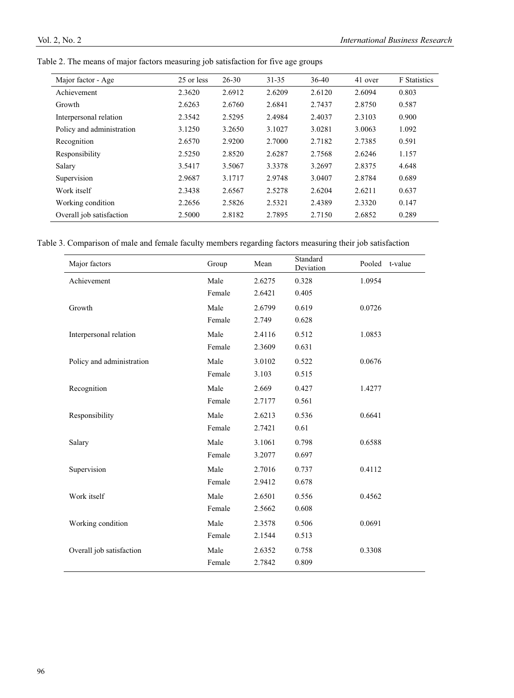| Major factor - Age        | 25 or less | $26 - 30$ | $31 - 35$ | 36-40  | 41 over | <b>F</b> Statistics |
|---------------------------|------------|-----------|-----------|--------|---------|---------------------|
| Achievement               | 2.3620     | 2.6912    | 2.6209    | 2.6120 | 2.6094  | 0.803               |
| Growth                    | 2.6263     | 2.6760    | 2.6841    | 2.7437 | 2.8750  | 0.587               |
| Interpersonal relation    | 2.3542     | 2.5295    | 2.4984    | 2.4037 | 2.3103  | 0.900               |
| Policy and administration | 3.1250     | 3.2650    | 3.1027    | 3.0281 | 3.0063  | 1.092               |
| Recognition               | 2.6570     | 2.9200    | 2.7000    | 2.7182 | 2.7385  | 0.591               |
| Responsibility            | 2.5250     | 2.8520    | 2.6287    | 2.7568 | 2.6246  | 1.157               |
| Salary                    | 3.5417     | 3.5067    | 3.3378    | 3.2697 | 2.8375  | 4.648               |
| Supervision               | 2.9687     | 3.1717    | 2.9748    | 3.0407 | 2.8784  | 0.689               |
| Work itself               | 2.3438     | 2.6567    | 2.5278    | 2.6204 | 2.6211  | 0.637               |
| Working condition         | 2.2656     | 2.5826    | 2.5321    | 2.4389 | 2.3320  | 0.147               |
| Overall job satisfaction  | 2.5000     | 2.8182    | 2.7895    | 2.7150 | 2.6852  | 0.289               |
|                           |            |           |           |        |         |                     |

Table 2. The means of major factors measuring job satisfaction for five age groups

Table 3. Comparison of male and female faculty members regarding factors measuring their job satisfaction

| Major factors             | Group  | Mean   | Standard<br>Deviation | Pooled<br>t-value |
|---------------------------|--------|--------|-----------------------|-------------------|
| Achievement               | Male   | 2.6275 | 0.328                 | 1.0954            |
|                           | Female | 2.6421 | 0.405                 |                   |
| Growth                    | Male   | 2.6799 | 0.619                 | 0.0726            |
|                           | Female | 2.749  | 0.628                 |                   |
| Interpersonal relation    | Male   | 2.4116 | 0.512                 | 1.0853            |
|                           | Female | 2.3609 | 0.631                 |                   |
| Policy and administration | Male   | 3.0102 | 0.522                 | 0.0676            |
|                           | Female | 3.103  | 0.515                 |                   |
| Recognition               | Male   | 2.669  | 0.427                 | 1.4277            |
|                           | Female | 2.7177 | 0.561                 |                   |
| Responsibility            | Male   | 2.6213 | 0.536                 | 0.6641            |
|                           | Female | 2.7421 | 0.61                  |                   |
| Salary                    | Male   | 3.1061 | 0.798                 | 0.6588            |
|                           | Female | 3.2077 | 0.697                 |                   |
| Supervision               | Male   | 2.7016 | 0.737                 | 0.4112            |
|                           | Female | 2.9412 | 0.678                 |                   |
| Work itself               | Male   | 2.6501 | 0.556                 | 0.4562            |
|                           | Female | 2.5662 | 0.608                 |                   |
| Working condition         | Male   | 2.3578 | 0.506                 | 0.0691            |
|                           | Female | 2.1544 | 0.513                 |                   |
| Overall job satisfaction  | Male   | 2.6352 | 0.758                 | 0.3308            |
|                           | Female | 2.7842 | 0.809                 |                   |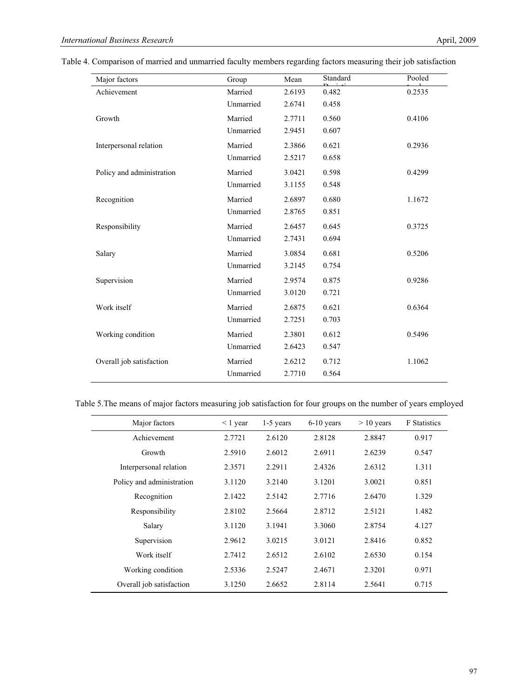| Table 4. Comparison of married and unmarried faculty members regarding factors measuring their job satisfaction |  |  |  |  |
|-----------------------------------------------------------------------------------------------------------------|--|--|--|--|
|                                                                                                                 |  |  |  |  |

| Major factors             | Group     | Mean   | Standard | Pooled |
|---------------------------|-----------|--------|----------|--------|
| Achievement               | Married   | 2.6193 | 0.482    | 0.2535 |
|                           | Unmarried | 2.6741 | 0.458    |        |
| Growth                    | Married   | 2.7711 | 0.560    | 0.4106 |
|                           | Unmarried | 2.9451 | 0.607    |        |
| Interpersonal relation    | Married   | 2.3866 | 0.621    | 0.2936 |
|                           | Unmarried | 2.5217 | 0.658    |        |
| Policy and administration | Married   | 3.0421 | 0.598    | 0.4299 |
|                           | Unmarried | 3.1155 | 0.548    |        |
| Recognition               | Married   | 2.6897 | 0.680    | 1.1672 |
|                           | Unmarried | 2.8765 | 0.851    |        |
| Responsibility            | Married   | 2.6457 | 0.645    | 0.3725 |
|                           | Unmarried | 2.7431 | 0.694    |        |
| Salary                    | Married   | 3.0854 | 0.681    | 0.5206 |
|                           | Unmarried | 3.2145 | 0.754    |        |
| Supervision               | Married   | 2.9574 | 0.875    | 0.9286 |
|                           | Unmarried | 3.0120 | 0.721    |        |
| Work itself               | Married   | 2.6875 | 0.621    | 0.6364 |
|                           | Unmarried | 2.7251 | 0.703    |        |
| Working condition         | Married   | 2.3801 | 0.612    | 0.5496 |
|                           | Unmarried | 2.6423 | 0.547    |        |
| Overall job satisfaction  | Married   | 2.6212 | 0.712    | 1.1062 |
|                           | Unmarried | 2.7710 | 0.564    |        |

Table 5.The means of major factors measuring job satisfaction for four groups on the number of years employed

| Major factors             | $\leq 1$ year | $1-5$ years | 6-10 years | $> 10$ years | <b>F</b> Statistics |
|---------------------------|---------------|-------------|------------|--------------|---------------------|
| Achievement               | 2.7721        | 2.6120      | 2.8128     | 2.8847       | 0.917               |
| Growth                    | 2.5910        | 2.6012      | 2.6911     | 2.6239       | 0.547               |
| Interpersonal relation    | 2.3571        | 2.2911      | 2.4326     | 2.6312       | 1.311               |
| Policy and administration | 3.1120        | 3.2140      | 3.1201     | 3.0021       | 0.851               |
| Recognition               | 2.1422        | 2.5142      | 2.7716     | 2.6470       | 1.329               |
| Responsibility            | 2.8102        | 2.5664      | 2.8712     | 2.5121       | 1.482               |
| Salary                    | 3.1120        | 3.1941      | 3.3060     | 2.8754       | 4.127               |
| Supervision               | 2.9612        | 3.0215      | 3.0121     | 2.8416       | 0.852               |
| Work itself               | 2.7412        | 2.6512      | 2.6102     | 2.6530       | 0.154               |
| Working condition         | 2.5336        | 2.5247      | 2.4671     | 2.3201       | 0.971               |
| Overall job satisfaction  | 3.1250        | 2.6652      | 2.8114     | 2.5641       | 0.715               |